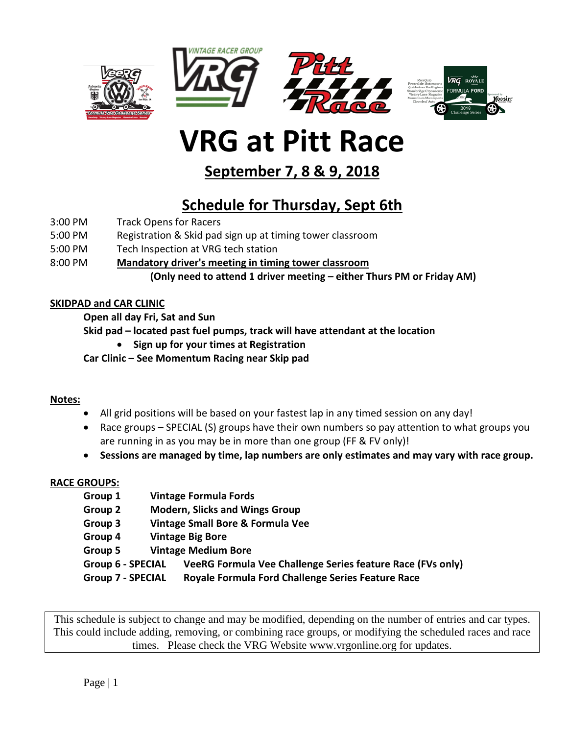





# **VRG at Pitt Race**

**September 7, 8 & 9, 2018**

# **Schedule for Thursday, Sept 6th**

- 3:00 PM Track Opens for Racers
- 5:00 PM Registration & Skid pad sign up at timing tower classroom
- 5:00 PM Tech Inspection at VRG tech station
- 8:00 PM **Mandatory driver's meeting in timing tower classroom**

**(Only need to attend 1 driver meeting – either Thurs PM or Friday AM)**

### **SKIDPAD and CAR CLINIC**

**Open all day Fri, Sat and Sun**

**Skid pad – located past fuel pumps, track will have attendant at the location**

• **Sign up for your times at Registration**

**Car Clinic – See Momentum Racing near Skip pad**

### **Notes:**

- All grid positions will be based on your fastest lap in any timed session on any day!
- Race groups SPECIAL (S) groups have their own numbers so pay attention to what groups you are running in as you may be in more than one group (FF & FV only)!
- **Sessions are managed by time, lap numbers are only estimates and may vary with race group.**

### **RACE GROUPS:**

| Group 1                  | <b>Vintage Formula Fords</b>                               |
|--------------------------|------------------------------------------------------------|
| Group 2                  | <b>Modern, Slicks and Wings Group</b>                      |
| Group 3                  | Vintage Small Bore & Formula Vee                           |
| Group 4                  | <b>Vintage Big Bore</b>                                    |
| Group 5                  | <b>Vintage Medium Bore</b>                                 |
| <b>Group 6 - SPECIAL</b> | VeeRG Formula Vee Challenge Series feature Race (FVs only) |
| <b>Group 7 - SPECIAL</b> | Royale Formula Ford Challenge Series Feature Race          |
|                          |                                                            |

This schedule is subject to change and may be modified, depending on the number of entries and car types. This could include adding, removing, or combining race groups, or modifying the scheduled races and race times. Please check the VRG Website www.vrgonline.org for updates.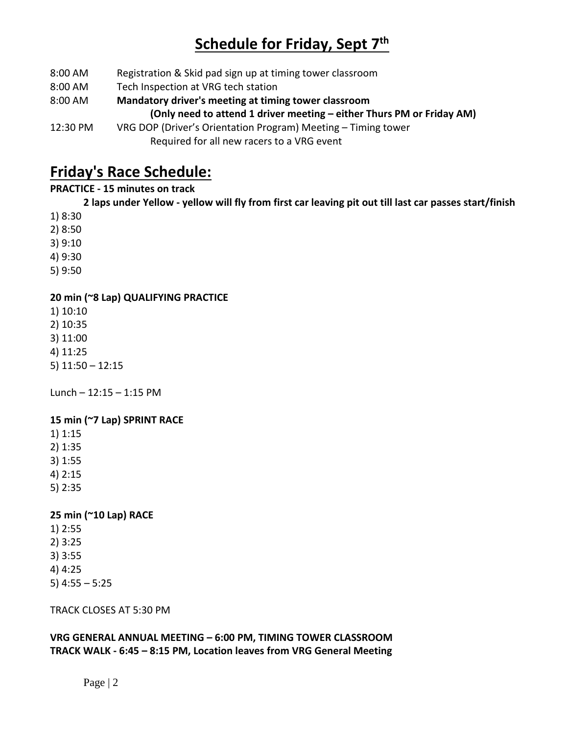## **Schedule for Friday, Sept 7th**

- 8:00 AM Registration & Skid pad sign up at timing tower classroom
- 8:00 AM Tech Inspection at VRG tech station
- 8:00 AM **Mandatory driver's meeting at timing tower classroom (Only need to attend 1 driver meeting – either Thurs PM or Friday AM)**
- 12:30 PM VRG DOP (Driver's Orientation Program) Meeting Timing tower Required for all new racers to a VRG event

### **Friday's Race Schedule:**

### **PRACTICE - 15 minutes on track**

**2 laps under Yellow - yellow will fly from first car leaving pit out till last car passes start/finish** 

- 1) 8:30
- 2) 8:50
- 3) 9:10
- 4) 9:30
- 5) 9:50

### **20 min (~8 Lap) QUALIFYING PRACTICE**

- 1) 10:10
- 2) 10:35
- 3) 11:00
- 4) 11:25
- 5) 11:50 12:15

Lunch –  $12:15 - 1:15$  PM

### **15 min (~7 Lap) SPRINT RACE**

- 1) 1:15
- 2) 1:35
- 3) 1:55
- 4) 2:15
- 5) 2:35

### **25 min (~10 Lap) RACE**

- 1) 2:55
- 2) 3:25
- 3) 3:55
- 4) 4:25
- 5) 4:55 5:25

TRACK CLOSES AT 5:30 PM

**VRG GENERAL ANNUAL MEETING – 6:00 PM, TIMING TOWER CLASSROOM TRACK WALK - 6:45 – 8:15 PM, Location leaves from VRG General Meeting**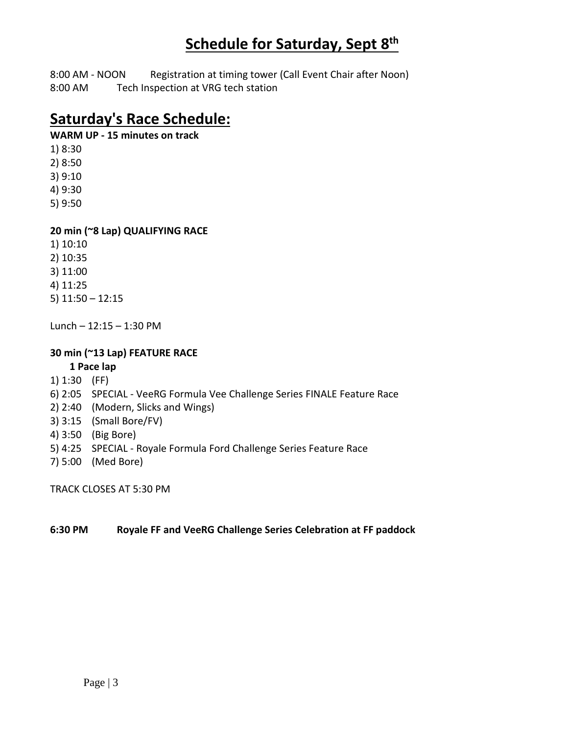### **Schedule for Saturday, Sept 8th**

8:00 AM - NOON Registration at timing tower (Call Event Chair after Noon) 8:00 AM Tech Inspection at VRG tech station

### **Saturday's Race Schedule:**

#### **WARM UP - 15 minutes on track**

- 1) 8:30
- 2) 8:50
- 3) 9:10 4) 9:30
- 5) 9:50
- 

### **20 min (~8 Lap) QUALIFYING RACE**

- 1) 10:10 2) 10:35
- 3) 11:00
- 4) 11:25
- 5) 11:50 12:15
- Lunch 12:15 1:30 PM

### **30 min (~13 Lap) FEATURE RACE**

- **1 Pace lap**
- 1) 1:30 (FF)
- 6) 2:05 SPECIAL VeeRG Formula Vee Challenge Series FINALE Feature Race
- 2) 2:40 (Modern, Slicks and Wings)
- 3) 3:15 (Small Bore/FV)
- 4) 3:50 (Big Bore)
- 5) 4:25 SPECIAL Royale Formula Ford Challenge Series Feature Race
- 7) 5:00 (Med Bore)

TRACK CLOSES AT 5:30 PM

### **6:30 PM Royale FF and VeeRG Challenge Series Celebration at FF paddock**